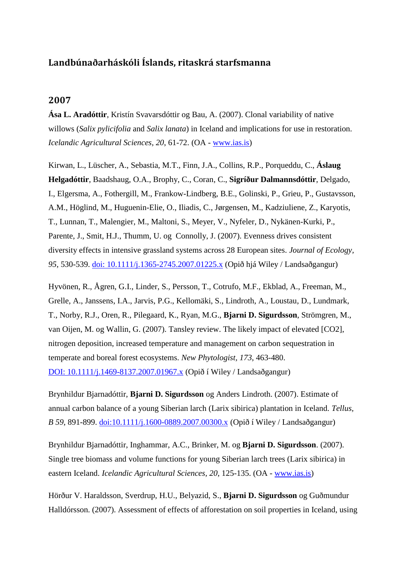## **Landbúnaðarháskóli Íslands, ritaskrá starfsmanna**

## **2007**

**Ása L. Aradóttir**, Kristín Svavarsdóttir og Bau, A. (2007). Clonal variability of native willows (*Salix pylicifolia* and *Salix lanata*) in Iceland and implications for use in restoration. *Icelandic Agricultural Sciences, 20*, 61-72. (OA - [www.ias.is\)](http://www.landbunadur.is/landbunadur/wgsamvef.nsf/8bbba2777ac88c4000256a89000a2ddb/b7ffc48bede95e1a002573d300412e02/$FILE/Clonal%20variability.pdf)

Kirwan, L., Lüscher, A., Sebastia, M.T., Finn, J.A., Collins, R.P., Porqueddu, C., **Áslaug Helgadóttir**, Baadshaug, O.A., Brophy, C., Coran, C., **Sigríður Dalmannsdóttir**, Delgado, I., Elgersma, A., Fothergill, M., Frankow-Lindberg, B.E., Golinski, P., Grieu, P., Gustavsson, A.M., Höglind, M., Huguenin-Elie, O., Iliadis, C., Jørgensen, M., Kadziuliene, Z., Karyotis, T., Lunnan, T., Malengier, M., Maltoni, S., Meyer, V., Nyfeler, D., Nykänen-Kurki, P., Parente, J., Smit, H.J., Thumm, U. og Connolly, J. (2007). Evenness drives consistent diversity effects in intensive grassland systems across 28 European sites. *Journal of Ecology, 95*, 530-539. [doi: 10.1111/j.1365-2745.2007.01225.x](http://onlinelibrary.wiley.com/doi/10.1111/j.1365-2745.2007.01225.x/pdf) (Opið hjá Wiley / Landsaðgangur)

Hyvönen, R., Ågren, G.I., Linder, S., Persson, T., Cotrufo, M.F., Ekblad, A., Freeman, M., Grelle, A., Janssens, I.A., Jarvis, P.G., Kellomäki, S., Lindroth, A., Loustau, D., Lundmark, T., Norby, R.J., Oren, R., Pilegaard, K., Ryan, M.G., **Bjarni D. Sigurdsson**, Strömgren, M., van Oijen, M. og Wallin, G. (2007). Tansley review. The likely impact of elevated [CO2], nitrogen deposition, increased temperature and management on carbon sequestration in temperate and boreal forest ecosystems. *New Phytologist, 173*, 463-480. DOI: [10.1111/j.1469-8137.2007.01967.x](http://onlinelibrary.wiley.com/doi/10.1111/j.1469-8137.2007.01967.x/pdf) (Opið í Wiley / Landsaðgangur)

Brynhildur Bjarnadóttir, **Bjarni D. Sigurdsson** og Anders Lindroth. (2007). Estimate of annual carbon balance of a young Siberian larch (Larix sibirica) plantation in Iceland. *Tellus, B 59*, 891-899. [doi:10.1111/j.1600-0889.2007.00300.x](http://onlinelibrary.wiley.com/doi/10.1111/j.1600-0889.2007.00300.x/pdf) (Opið í Wiley / Landsaðgangur)

Brynhildur Bjarnadóttir, Inghammar, A.C., Brinker, M. og **Bjarni D. Sigurdsson**. (2007). Single tree biomass and volume functions for young Siberian larch trees (Larix sibirica) in eastern Iceland. *Icelandic Agricultural Sciences, 20*, 125-135. (OA - [www.ias.is\)](http://www.landbunadur.is/landbunadur/wgsamvef.nsf/8bbba2777ac88c4000256a89000a2ddb/1aa1f115e61b6f02002573d4003d078e/$FILE/Single%20tree.pdf)

Hörður V. Haraldsson, Sverdrup, H.U., Belyazid, S., **Bjarni D. Sigurdsson** og Guðmundur Halldórsson. (2007). Assessment of effects of afforestation on soil properties in Iceland, using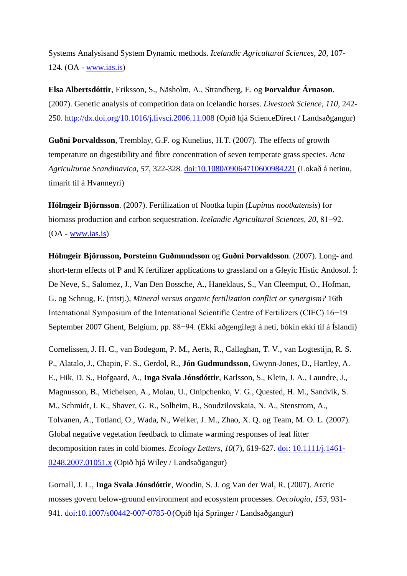Systems Analysisand System Dynamic methods. *Icelandic Agricultural Sciences, 20,* 107- 124. (OA - [www.ias.is\)](http://www.landbunadur.is/landbunadur/wgsamvef.nsf/8bbba2777ac88c4000256a89000a2ddb/9e7d25e08ffe46f5002573d40035a58d/$FILE/Assessment.pdf)

**Elsa Albertsdóttir**, Eriksson, S., Näsholm, A., Strandberg, E. og **Þorvaldur Árnason**. (2007). Genetic analysis of competition data on Icelandic horses. *Livestock Science, 110*, 242- 250. <http://dx.doi.org/10.1016/j.livsci.2006.11.008> (Opið hjá ScienceDirect / Landsaðgangur)

**Guðni Þorvaldsson**, Tremblay, G.F. og Kunelius, H.T. (2007). The effects of growth temperature on digestibility and fibre concentration of seven temperate grass species. *Acta Agriculturae Scandinavica, 57*, 322-328. [doi:10.1080/09064710600984221](http://www.tandfonline.com/doi/abs/10.1080/09064710600984221#.UoIyM3C8DDs) (Lokað á netinu, tímarit til á Hvanneyri)

**Hólmgeir Björnsson**. (2007). Fertilization of Nootka lupin (*Lupinus nootkatensis*) for biomass production and carbon sequestration. *Icelandic Agricultural Sciences, 20*, 81−92. (OA - [www.ias.is\)](http://www.landbunadur.is/landbunadur/wgsamvef.nsf/8bbba2777ac88c4000256a89000a2ddb/2ca34c873633f679002573d40033cefa/$FILE/Fertilization.pdf)

**Hólmgeir Björnsson, Þorsteinn Guðmundsson** og **Guðni Þorvaldsson**. (2007). Long- and short-term effects of P and K fertilizer applications to grassland on a Gleyic Histic Andosol. Í: De Neve, S., Salomez, J., Van Den Bossche, A., Haneklaus, S., Van Cleemput, O., Hofman, G. og Schnug, E. (ritstj.), *Mineral versus organic fertilization conflict or synergism?* 16th International Symposium of the International Scientific Centre of Fertilizers (CIEC) 16−19 September 2007 Ghent, Belgium, pp. 88−94. (Ekki aðgengilegt á neti, bókin ekki til á Íslandi)

Cornelissen, J. H. C., van Bodegom, P. M., Aerts, R., Callaghan, T. V., van Logtestijn, R. S. P., Alatalo, J., Chapin, F. S., Gerdol, R., **Jón Gudmundsson**, Gwynn-Jones, D., Hartley, A. E., Hik, D. S., Hofgaard, A., **Inga Svala Jónsdóttir**, Karlsson, S., Klein, J. A., Laundre, J., Magnusson, B., Michelsen, A., Molau, U., Onipchenko, V. G., Quested, H. M., Sandvik, S. M., Schmidt, I. K., Shaver, G. R., Solheim, B., Soudzilovskaia, N. A., Stenstrom, A., Tolvanen, A., Totland, O., Wada, N., Welker, J. M., Zhao, X. Q. og Team, M. O. L. (2007). Global negative vegetation feedback to climate warming responses of leaf litter decomposition rates in cold biomes. *Ecology Letters, 10*(7), 619-627. doi: [10.1111/j.1461-](http://onlinelibrary.wiley.com/doi/10.1111/j.1461-0248.2007.01051.x/pdf) [0248.2007.01051.x](http://onlinelibrary.wiley.com/doi/10.1111/j.1461-0248.2007.01051.x/pdf) (Opið hjá Wiley / Landsaðgangur)

Gornall, J. L., **Inga Svala Jónsdóttir**, Woodin, S. J. og Van der Wal, R. (2007). Arctic mosses govern below-ground environment and ecosystem processes. *Oecologia, 153*, 931- 941. [doi:10.1007/s00442-007-0785-0](http://download.springer.com/static/pdf/596/art%253A10.1007%252Fs00442-007-0785-0.pdf?auth66=1384437471_b952af160f8d409bdda53f58de45742c&ext=.pdf) (Opið hjá Springer / Landsaðgangur)